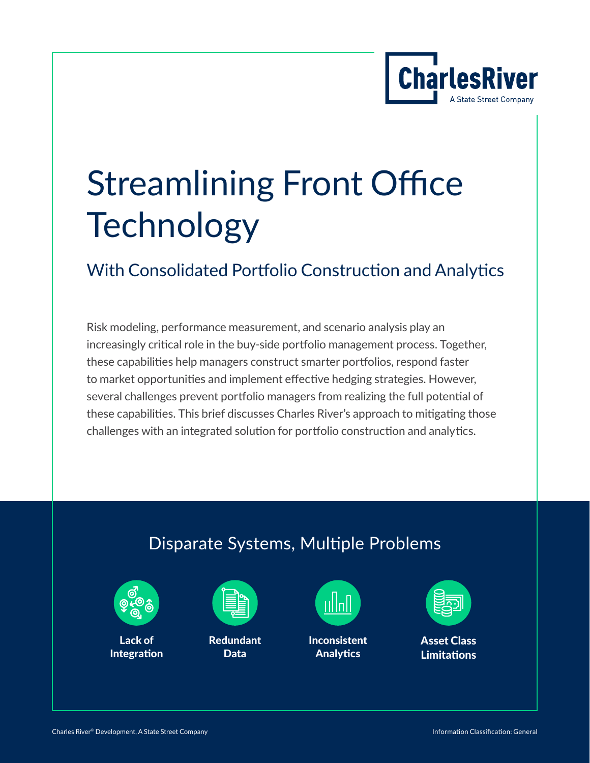

# Streamlining Front Office **Technology**

### With Consolidated Portfolio Construction and Analytics

Risk modeling, performance measurement, and scenario analysis play an increasingly critical role in the buy-side portfolio management process. Together, these capabilities help managers construct smarter portfolios, respond faster to market opportunities and implement effective hedging strategies. However, several challenges prevent portfolio managers from realizing the full potential of these capabilities. This brief discusses Charles River's approach to mitigating those challenges with an integrated solution for portfolio construction and analytics.

### Disparate Systems, Multiple Problems



Lack of Integration



Redundant Data



Inconsistent **Analytics** 



Asset Class Limitations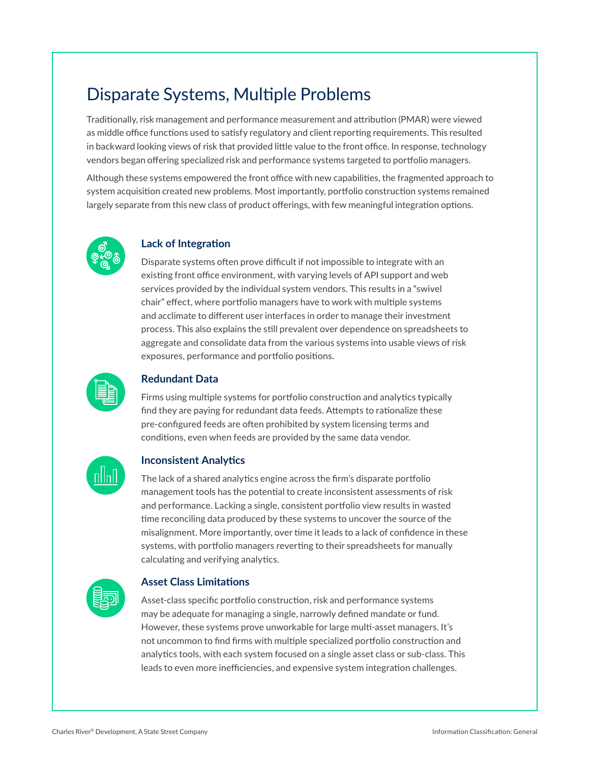### Disparate Systems, Multiple Problems

Traditionally, risk management and performance measurement and attribution (PMAR) were viewed as middle office functions used to satisfy regulatory and client reporting requirements. This resulted in backward looking views of risk that provided little value to the front office. In response, technology vendors began offering specialized risk and performance systems targeted to portfolio managers.

Although these systems empowered the front office with new capabilities, the fragmented approach to system acquisition created new problems. Most importantly, portfolio construction systems remained largely separate from this new class of product offerings, with few meaningful integration options.



#### **Lack of Integration**

Disparate systems often prove difficult if not impossible to integrate with an existing front office environment, with varying levels of API support and web services provided by the individual system vendors. This results in a "swivel chair" effect, where portfolio managers have to work with multiple systems and acclimate to different user interfaces in order to manage their investment process. This also explains the still prevalent over dependence on spreadsheets to aggregate and consolidate data from the various systems into usable views of risk exposures, performance and portfolio positions.



#### **Redundant Data**

Firms using multiple systems for portfolio construction and analytics typically find they are paying for redundant data feeds. Attempts to rationalize these pre-configured feeds are often prohibited by system licensing terms and conditions, even when feeds are provided by the same data vendor.



### **Inconsistent Analytics**

The lack of a shared analytics engine across the firm's disparate portfolio management tools has the potential to create inconsistent assessments of risk and performance. Lacking a single, consistent portfolio view results in wasted time reconciling data produced by these systems to uncover the source of the misalignment. More importantly, over time it leads to a lack of confidence in these systems, with portfolio managers reverting to their spreadsheets for manually calculating and verifying analytics.



#### **Asset Class Limitations**

Asset-class specific portfolio construction, risk and performance systems may be adequate for managing a single, narrowly defined mandate or fund. However, these systems prove unworkable for large multi-asset managers. It's not uncommon to find firms with multiple specialized portfolio construction and analytics tools, with each system focused on a single asset class or sub-class. This leads to even more inefficiencies, and expensive system integration challenges.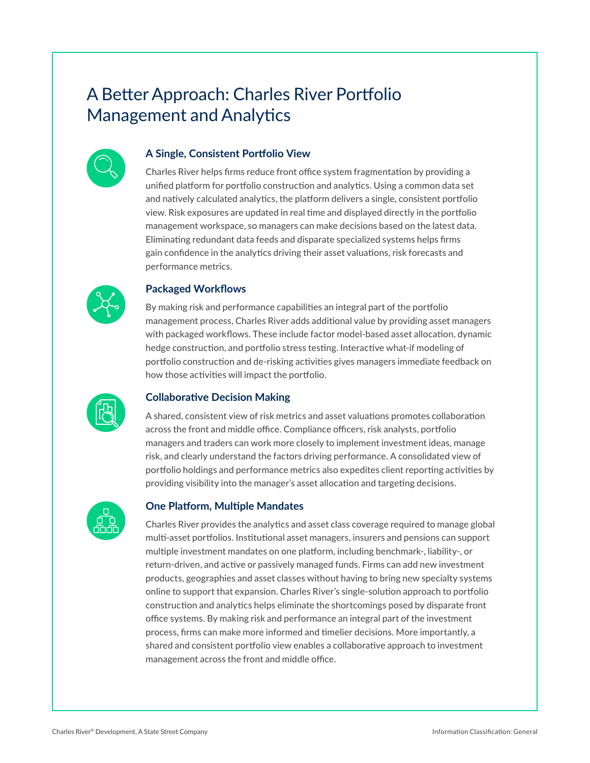### A Better Approach: Charles River Portfolio Management and Analytics



### **A Single, Consistent Portfolio View**

Charles River helps firms reduce front office system fragmentation by providing a unified platform for portfolio construction and analytics. Using a common data set and natively calculated analytics, the platform delivers a single, consistent portfolio view. Risk exposures are updated in real time and displayed directly in the portfolio management workspace, so managers can make decisions based on the latest data. Eliminating redundant data feeds and disparate specialized systems helps firms gain confidence in the analytics driving their asset valuations, risk forecasts and performance metrics.



### **Packaged Workflows**

By making risk and performance capabilities an integral part of the portfolio management process, Charles River adds additional value by providing asset managers with packaged workflows. These include factor model-based asset allocation, dynamic hedge construction, and portfolio stress testing. Interactive what-if modeling of portfolio construction and de-risking activities gives managers immediate feedback on how those activities will impact the portfolio.



### **Collaborative Decision Making**

A shared, consistent view of risk metrics and asset valuations promotes collaboration across the front and middle office. Compliance officers, risk analysts, portfolio managers and traders can work more closely to implement investment ideas, manage risk, and clearly understand the factors driving performance. A consolidated view of portfolio holdings and performance metrics also expedites client reporting activities by providing visibility into the manager's asset allocation and targeting decisions.



### **One Platform, Multiple Mandates**

Charles River provides the analytics and asset class coverage required to manage global multi-asset portfolios. Institutional asset managers, insurers and pensions can support multiple investment mandates on one platform, including benchmark-, liability-, or return-driven, and active or passively managed funds. Firms can add new investment products, geographies and asset classes without having to bring new specialty systems online to support that expansion. Charles River's single-solution approach to portfolio construction and analytics helps eliminate the shortcomings posed by disparate front office systems. By making risk and performance an integral part of the investment process, firms can make more informed and timelier decisions. More importantly, a shared and consistent portfolio view enables a collaborative approach to investment management across the front and middle office.